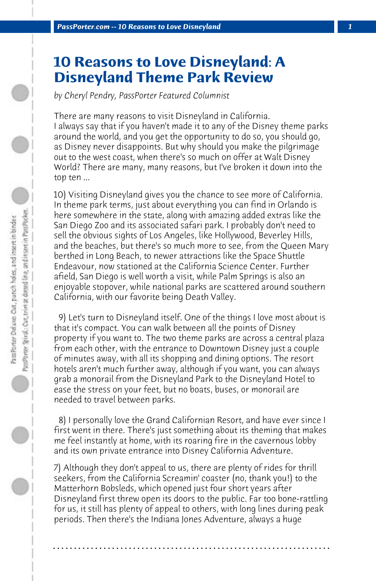## **10 Reasons to Love Disneyland: A Disneyland Theme Park Review**

*by Cheryl Pendry, PassPorter Featured Columnist*

There are many reasons to visit Disneyland in California. I always say that if you haven't made it to any of the Disney theme parks around the world, and you get the opportunity to do so, you should go, as Disney never disappoints. But why should you make the pilgrimage out to the west coast, when there's so much on offer at Walt Disney World? There are many, many reasons, but I've broken it down into the top ten ...

10) Visiting Disneyland gives you the chance to see more of California. In theme park terms, just about everything you can find in Orlando is here somewhere in the state, along with amazing added extras like the San Diego Zoo and its associated safari park. I probably don't need to sell the obvious sights of Los Angeles, like Hollywood, Beverley Hills, and the beaches, but there's so much more to see, from the Queen Mary berthed in Long Beach, to newer attractions like the Space Shuttle Endeavour, now stationed at the California Science Center. Further afield, San Diego is well worth a visit, while Palm Springs is also an enjoyable stopover, while national parks are scattered around southern California, with our favorite being Death Valley.

 9) Let's turn to Disneyland itself. One of the things I love most about is that it's compact. You can walk between all the points of Disney property if you want to. The two theme parks are across a central plaza from each other, with the entrance to Downtown Disney just a couple of minutes away, with all its shopping and dining options. The resort hotels aren't much further away, although if you want, you can always grab a monorail from the Disneyland Park to the Disneyland Hotel to ease the stress on your feet, but no boats, buses, or monorail are needed to travel between parks.

 8) I personally love the Grand Californian Resort, and have ever since I first went in there. There's just something about its theming that makes me feel instantly at home, with its roaring fire in the cavernous lobby and its own private entrance into Disney California Adventure.

7) Although they don't appeal to us, there are plenty of rides for thrill seekers, from the California Screamin' coaster (no, thank you!) to the Matterhorn Bobsleds, which opened just four short years after Disneyland first threw open its doors to the public. Far too bone-rattling for us, it still has plenty of appeal to others, with long lines during peak periods. Then there's the Indiana Jones Adventure, always a huge

**. . . . . . . . . . . . . . . . . . . . . . . . . . . . . . . . . . . . . . . . . . . . . . . . . . . . . . . . . . . . . . . . . .**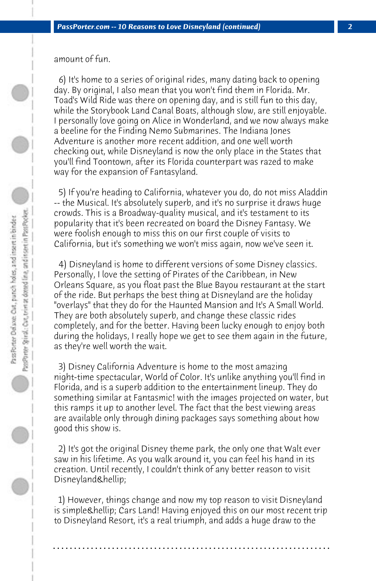amount of fun.

 6) It's home to a series of original rides, many dating back to opening day. By original, I also mean that you won't find them in Florida. Mr. Toad's Wild Ride was there on opening day, and is still fun to this day, while the Storybook Land Canal Boats, although slow, are still enjoyable. I personally love going on Alice in Wonderland, and we now always make a beeline for the Finding Nemo Submarines. The Indiana Jones Adventure is another more recent addition, and one well worth checking out, while Disneyland is now the only place in the States that you'll find Toontown, after its Florida counterpart was razed to make way for the expansion of Fantasyland.

 5) If you're heading to California, whatever you do, do not miss Aladdin -- the Musical. It's absolutely superb, and it's no surprise it draws huge crowds. This is a Broadway-quality musical, and it's testament to its popularity that it's been recreated on board the Disney Fantasy. We were foolish enough to miss this on our first couple of visits to California, but it's something we won't miss again, now we've seen it.

 4) Disneyland is home to different versions of some Disney classics. Personally, I love the setting of Pirates of the Caribbean, in New Orleans Square, as you float past the Blue Bayou restaurant at the start of the ride. But perhaps the best thing at Disneyland are the holiday "overlays" that they do for the Haunted Mansion and It's A Small World. They are both absolutely superb, and change these classic rides completely, and for the better. Having been lucky enough to enjoy both during the holidays, I really hope we get to see them again in the future, as they're well worth the wait.

 3) Disney California Adventure is home to the most amazing night-time spectacular, World of Color. It's unlike anything you'll find in Florida, and is a superb addition to the entertainment lineup. They do something similar at Fantasmic! with the images projected on water, but this ramps it up to another level. The fact that the best viewing areas are available only through dining packages says something about how good this show is.

 2) It's got the original Disney theme park, the only one that Walt ever saw in his lifetime. As you walk around it, you can feel his hand in its creation. Until recently, I couldn't think of any better reason to visit Disneyland…

 1) However, things change and now my top reason to visit Disneyland is simple & hellip; Cars Land! Having enjoyed this on our most recent trip to Disneyland Resort, it's a real triumph, and adds a huge draw to the

**. . . . . . . . . . . . . . . . . . . . . . . . . . . . . . . . . . . . . . . . . . . . . . . . . . . . . . . . . . . . . . . . . .**